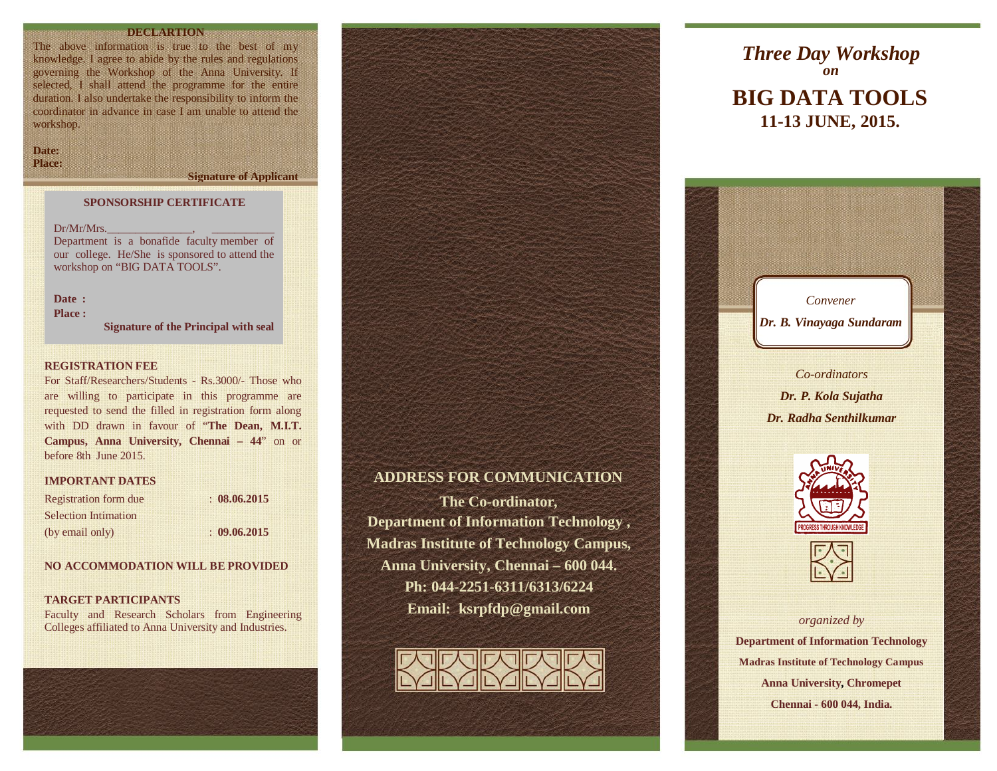# **DECLARTION**

The above information is true to the best of my knowledge. I agree to abide by the rules and regulations governing the Workshop of the Anna University. If selected, I shall attend the programme for the entire duration. I also undertake the responsibility to inform the coordinator in advance in case I am unable to attend the workshop.

**Date: Place:**

**Signature of Applicant**

#### **SPONSORSHIP CERTIFICATE**

 $Dr/Mr/Mrs$ . Department is a bonafide faculty member of

our college. He/She is sponsored to attend the workshop on "BIG DATA TOOLS".

**Date : Place :** 

**Signature of the Principal with seal**

#### **REGISTRATION FEE**

For Staff/Researchers/Students - Rs.3000/- Those who are willing to participate in this programme are requested to send the filled in registration form along with DD drawn in favour of "**The Dean, M.I.T. Campus, Anna University, Chennai – 44**" on or before 8th June 2015.

#### **IMPORTANT DATES**

| <b>Registration form due</b> | : 08.06.2015 |  |
|------------------------------|--------------|--|
| <b>Selection Intimation</b>  |              |  |
| (by email only)              | : 09.06.2015 |  |

# **NO ACCOMMODATION WILL BE PROVIDED**

#### **TARGET PARTICIPANTS**

Faculty and Research Scholars from Engineering Colleges affiliated to Anna University and Industries.





**The Co-ordinator, Department of Information Technology , Madras Institute of Technology Campus, Anna University, Chennai – 600 044. Ph: 044-2251-6311/6313/6224 Email: ksrpfdp@gmail.com**



# **BIG DATA TOOLS 11-13 JUNE, 2015.** *Three Day Workshop on*





*organized by* **Department of Information Technology Madras Institute of Technology Campus Anna University, Chromepet Chennai - 600 044, India.**